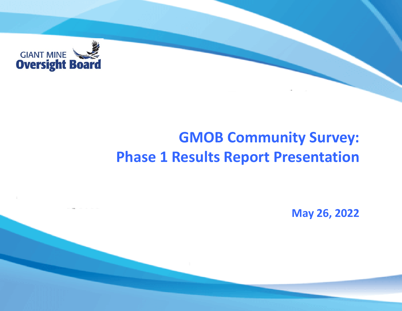

# **GMOB Community Survey: Phase 1 Results Report Presentation**

**May 26, 2022**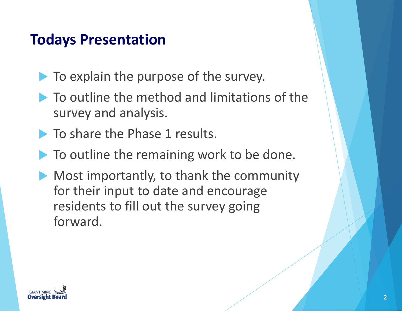# **Todays Presentation**

- To explain the purpose of the survey.
- $\blacktriangleright$  To outline the method and limitations of the survey and analysis.
- **To share the Phase 1 results.**
- $\blacktriangleright$  To outline the remaining work to be done.
- **Most importantly, to thank the community** for their input to date and encourage residents to fill out the survey going forward.

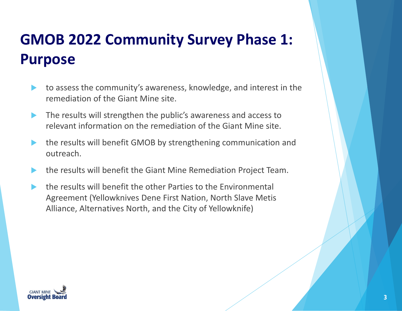# **GMOB 2022 Community Survey Phase 1: Purpose**

- to assess the community's awareness, knowledge, and interest in the remediation of the Giant Mine site.
- The results will strengthen the public's awareness and access to relevant information on the remediation of the Giant Mine site.
- the results will benefit GMOB by strengthening communication and outreach.
- the results will benefit the Giant Mine Remediation Project Team.
- the results will benefit the other Parties to the Environmental Agreement (Yellowknives Dene First Nation, North Slave Metis Alliance, Alternatives North, and the City of Yellowknife)

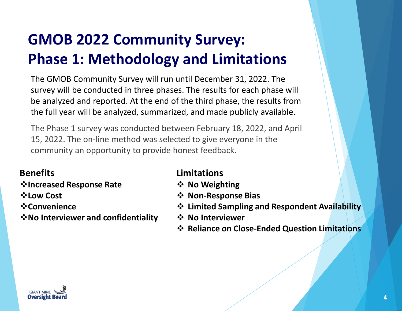# **GMOB 2022 Community Survey: Phase 1: Methodology and Limitations**

The GMOB Community Survey will run until December 31, 2022. The survey will be conducted in three phases. The results for each phase will be analyzed and reported. At the end of the third phase, the results from the full year will be analyzed, summarized, and made publicly available.

The Phase 1 survey was conducted between February 18, 2022, and April 15, 2022. The on-line method was selected to give everyone in the community an opportunity to provide honest feedback.

#### **Benefits**

- **Increased Response Rate**
- **Low Cost**
- **☆Convenience**
- **No Interviewer and confidentiality**

#### **Limitations**

- **☆ No Weighting**
- **Non-Response Bias**
- **Limited Sampling and Respondent Availability**
- **No Interviewer**
- **❖ Reliance on Close-Ended Question Limitations**

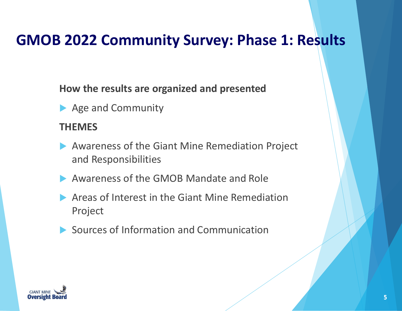# **GMOB 2022 Community Survey: Phase 1: Results**

**How the results are organized and presented**

Age and Community

#### **THEMES**

- Awareness of the Giant Mine Remediation Project and Responsibilities
- Awareness of the GMOB Mandate and Role
- Areas of Interest in the Giant Mine Remediation Project
- ▶ Sources of Information and Communication

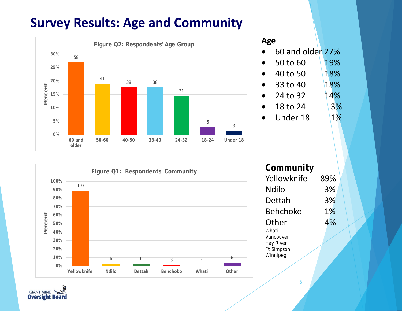### **Survey Results: Age and Community**



#### **Age**

• 60 and older 27%

| 50 to 60 | 19% |
|----------|-----|
| 40 to 50 | 18% |

- 33 to 40 18%
- 24 to 32 14%

• 18 to 24  $3\%$ 

 $\bullet$  Under 18 1%



#### **Community** Yellowknife 89% Ndilo 3% Dettah 3% Behchoko 1% Other 4% Whati Vancouver Hay River Ft Simpson

6

Winnipeg

**GIANT MINE Oversight Board**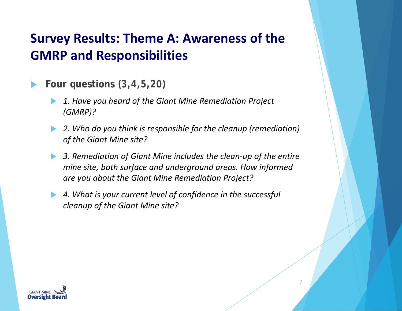## **Survey Results: Theme A: Awareness of the GMRP and Responsibilities**

- **Four questions** *(3,4,5,20)*
	- *1. Have you heard of the Giant Mine Remediation Project (GMRP)?*
	- *2. Who do you think is responsible for the cleanup (remediation) of the Giant Mine site?*
	- *3. Remediation of Giant Mine includes the clean-up of the entire mine site, both surface and underground areas. How informed are you about the Giant Mine Remediation Project?*

7

 *4. What is your current level of confidence in the successful cleanup of the Giant Mine site?*

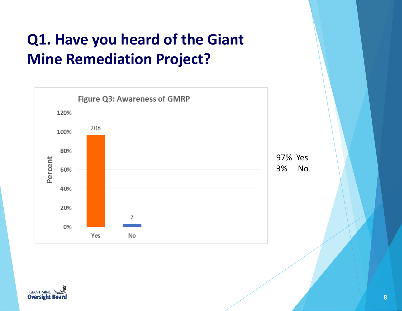# **Q1. Have you heard of the Giant Mine Remediation Project?**



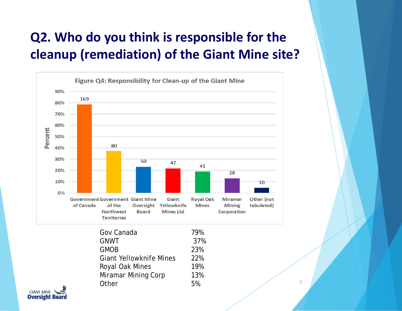## **Q2. Who do you think is responsible for the cleanup (remediation) of the Giant Mine site?**



| Gov Canada                     | 79% |
|--------------------------------|-----|
| <b>GNWT</b>                    | 37% |
| <b>GMOB</b>                    | 23% |
| <b>Giant Yellowknife Mines</b> | 22% |
| Royal Oak Mines                | 19% |
| <b>Miramar Mining Corp</b>     | 13% |
| Other                          | 5%  |

9

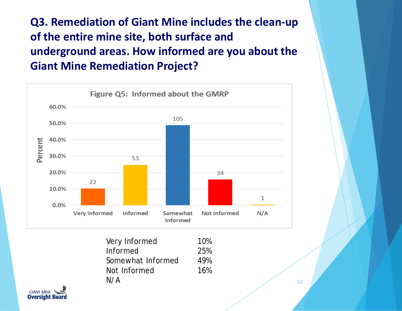**Q3. Remediation of Giant Mine includes the clean-up of the entire mine site, both surface and underground areas. How informed are you about the Giant Mine Remediation Project?**



| Very Informed     | 10% |
|-------------------|-----|
| Informed          | 25% |
| Somewhat Informed | 49% |
| Not Informed      | 16% |
| N/A               |     |

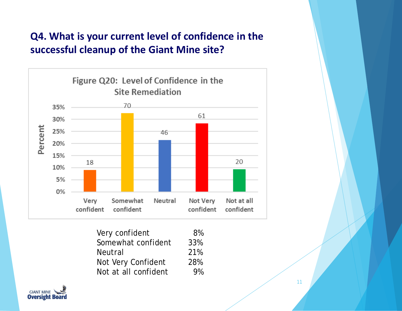#### **Q4. What is your current level of confidence in the successful cleanup of the Giant Mine site?**



| Very confident       | 8%  |
|----------------------|-----|
| Somewhat confident   | 33% |
| <b>Neutral</b>       | 21% |
| Not Very Confident   | 28% |
| Not at all confident | 9%  |

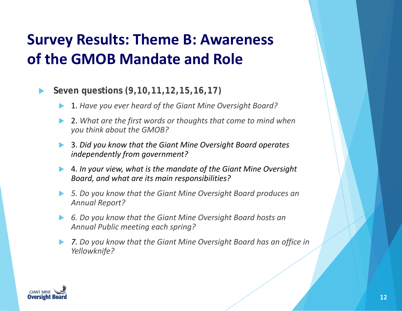# **Survey Results: Theme B: Awareness of the GMOB Mandate and Role**

#### **Seven questions** *(9,10,11,12,15,16,17)*

- 1. *Have you ever heard of the Giant Mine Oversight Board?*
- 2. *What are the first words or thoughts that come to mind when you think about the GMOB?*
- 3. *Did you know that the Giant Mine Oversight Board operates independently from government?*
- 4. *In your view, what is the mandate of the Giant Mine Oversight Board, and what are its main responsibilities?*
- *5. Do you know that the Giant Mine Oversight Board produces an Annual Report?*
- *6. Do you know that the Giant Mine Oversight Board hosts an Annual Public meeting each spring?*
- *7. Do you know that the Giant Mine Oversight Board has an office in Yellowknife?*

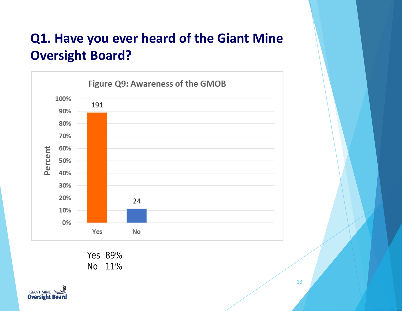## **Q1. Have you ever heard of the Giant Mine Oversight Board?**



Yes 89% No 11%

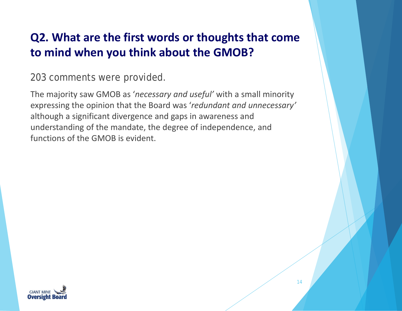### **Q2. What are the first words or thoughts that come to mind when you think about the GMOB?**

203 comments were provided.

The majority saw GMOB as '*necessary and useful'* with a small minority expressing the opinion that the Board was '*redundant and unnecessary'* although a significant divergence and gaps in awareness and understanding of the mandate, the degree of independence, and functions of the GMOB is evident.

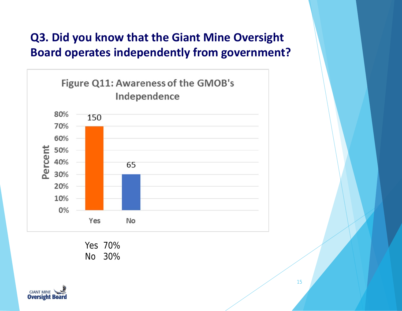### **Q3. Did you know that the Giant Mine Oversight Board operates independently from government?**



Yes 70% No 30%

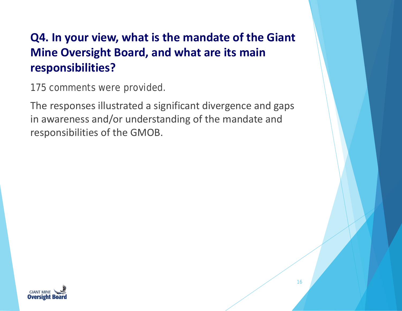### **Q4. In your view, what is the mandate of the Giant Mine Oversight Board, and what are its main responsibilities?**

175 comments were provided.

The responses illustrated a significant divergence and gaps in awareness and/or understanding of the mandate and responsibilities of the GMOB.

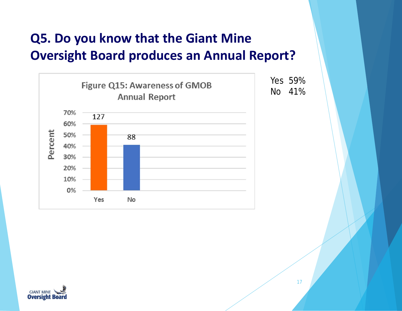## **Q5. Do you know that the Giant Mine Oversight Board produces an Annual Report?**



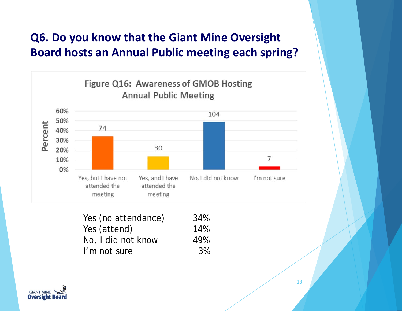### **Q6. Do you know that the Giant Mine Oversight Board hosts an Annual Public meeting each spring?**



| Yes (no attendance) | 34% |
|---------------------|-----|
| Yes (attend)        | 14% |
| No, I did not know  | 49% |
| I'm not sure        | 3%  |

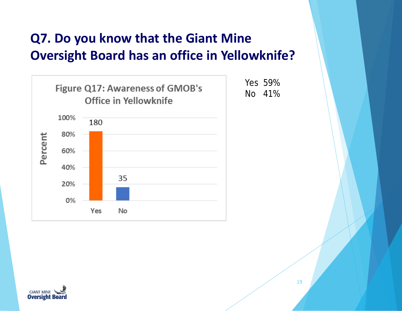## **Q7. Do you know that the Giant Mine Oversight Board has an office in Yellowknife?**



Yes 59% No 41%

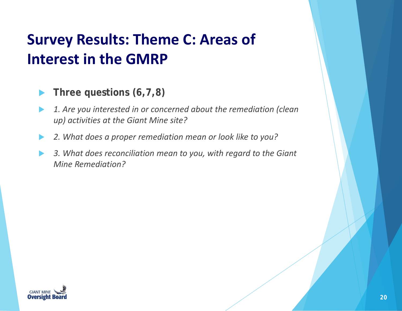# **Survey Results: Theme C: Areas of Interest in the GMRP**

- ▶ Three questions  $(6, 7, 8)$
- *1. Are you interested in or concerned about the remediation (clean up) activities at the Giant Mine site?*
- *2. What does a proper remediation mean or look like to you?*
- *3. What does reconciliation mean to you, with regard to the Giant Mine Remediation?*

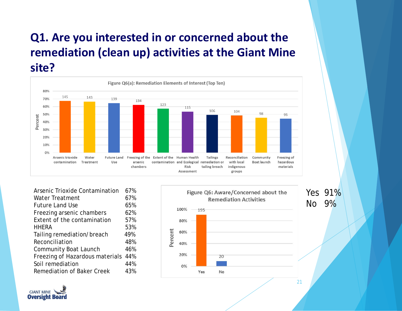### **Q1. Are you interested in or concerned about the remediation (clean up) activities at the Giant Mine site?**



| <b>Arsenic Trioxide Contamination</b> | 67% |
|---------------------------------------|-----|
| <b>Water Treatment</b>                | 67% |
| <b>Future Land Use</b>                | 65% |
| Freezing arsenic chambers             | 62% |
| Extent of the contamination           | 57% |
| <b>HHERA</b>                          | 53% |
| Tailing remediation/breach            | 49% |
| Reconciliation                        | 48% |
| <b>Community Boat Launch</b>          | 46% |
| Freezing of Hazardous materials       | 44% |
| Soil remediation                      | 44% |
| <b>Remediation of Baker Creek</b>     | 43% |
|                                       |     |



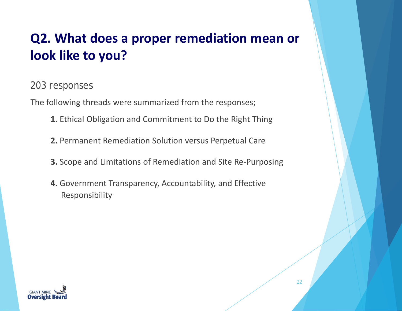# **Q2. What does a proper remediation mean or look like to you?**

#### 203 responses

The following threads were summarized from the responses;

- **1.** Ethical Obligation and Commitment to Do the Right Thing
- **2.** Permanent Remediation Solution versus Perpetual Care
- **3.** Scope and Limitations of Remediation and Site Re-Purposing
- **4.** Government Transparency, Accountability, and Effective Responsibility

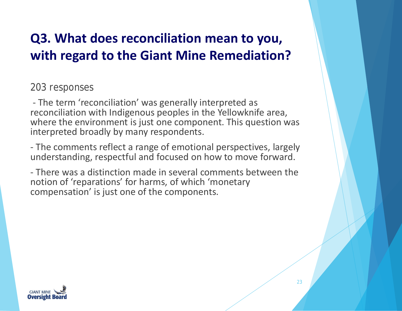## **Q3. What does reconciliation mean to you, with regard to the Giant Mine Remediation?**

203 responses

- The term 'reconciliation' was generally interpreted as reconciliation with Indigenous peoples in the Yellowknife area, where the environment is just one component. This question was interpreted broadly by many respondents.

- The comments reflect a range of emotional perspectives, largely understanding, respectful and focused on how to move forward.

- There was a distinction made in several comments between the notion of 'reparations' for harms, of which 'monetary compensation' is just one of the components.

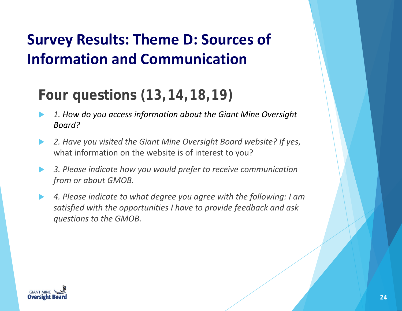# **Survey Results: Theme D: Sources of Information and Communication**

# **Four questions** *(13,14,18,19)*

- *1. How do you access information about the Giant Mine Oversight Board?*
- *2. Have you visited the Giant Mine Oversight Board website? If yes*, what information on the website is of interest to you?
- *3. Please indicate how you would prefer to receive communication from or about GMOB.*
- *4. Please indicate to what degree you agree with the following: I am satisfied with the opportunities I have to provide feedback and ask questions to the GMOB.*

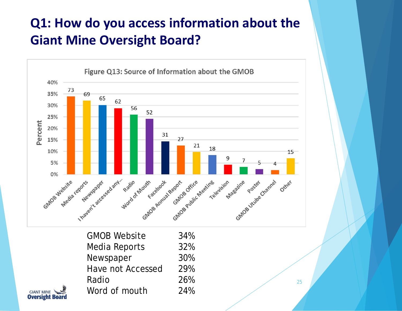# **Q1: How do you access information about the Giant Mine Oversight Board?**



| <b>GMOB Website</b>      | 34% |
|--------------------------|-----|
| Media Reports            | 32% |
| Newspaper                | 30% |
| <b>Have not Accessed</b> | 29% |
| Radio                    | 26% |
| Word of mouth            | 24% |

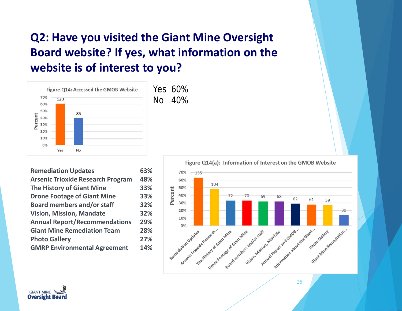### **Q2: Have you visited the Giant Mine Oversight Board website? If yes, what information on the website is of interest to you?**



**Remediation Updates 63% Arsenic Trioxide Research Program 48% The History of Giant Mine 33% Drone Footage of Giant Mine 33% Board members and/or staff 32% Vision, Mission, Mandate 32% Annual Report/Recommendations 29% Giant Mine Remediation Team 28% Photo Gallery 27% GMRP Environmental Agreement 14%**



26

Figure Q14(a): Information of Interest on the GMOB Website

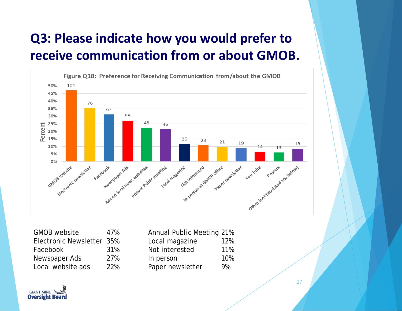# **Q3: Please indicate how you would prefer to receive communication from or about GMOB.**



| <b>GMOB</b> website       | 47% |
|---------------------------|-----|
| Electronic Newsletter 35% |     |
| Facebook                  | 31% |
| Newspaper Ads             | 27% |
| Local website ads         | 22% |

| <b>Annual Public Meeting 21%</b> |     |
|----------------------------------|-----|
| Local magazine                   | 12% |
| Not interested                   | 11% |
| In person                        | 10% |
| Paper newsletter                 | 9%  |

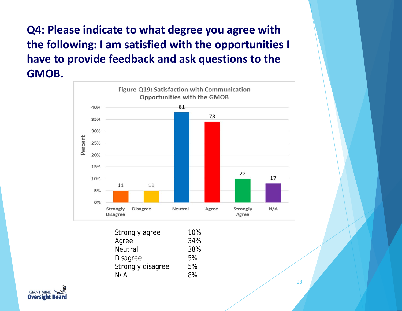**Q4: Please indicate to what degree you agree with the following: I am satisfied with the opportunities I have to provide feedback and ask questions to the GMOB.** 



| Strongly agree    | 10% |
|-------------------|-----|
| Agree             | 34% |
| <b>Neutral</b>    | 38% |
| Disagree          | 5%  |
| Strongly disagree | 5%  |
| N/A               | 8%  |

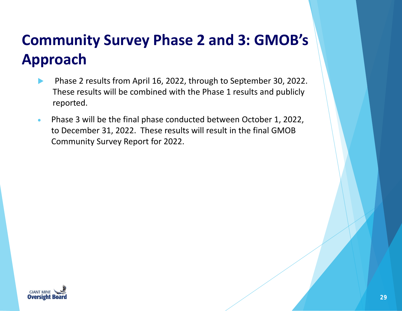# **Community Survey Phase 2 and 3: GMOB's Approach**

- Phase 2 results from April 16, 2022, through to September 30, 2022. These results will be combined with the Phase 1 results and publicly reported.
- Phase 3 will be the final phase conducted between October 1, 2022, to December 31, 2022. These results will result in the final GMOB Community Survey Report for 2022.